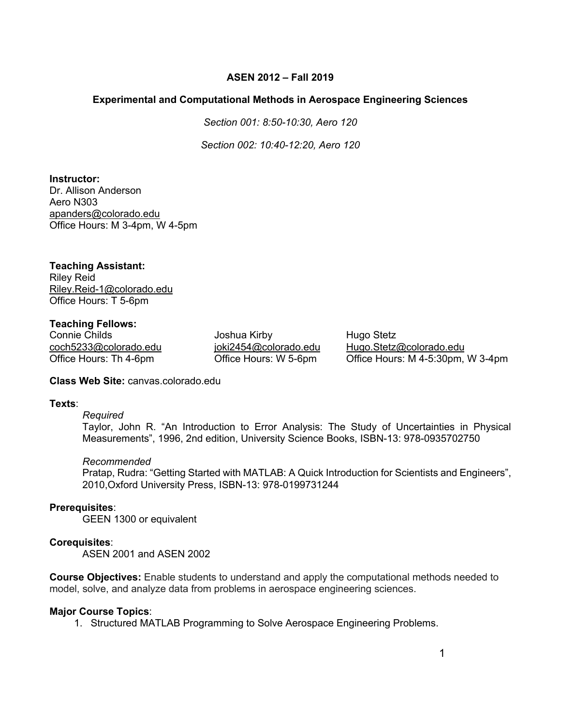# **ASEN 2012 – Fall 2019**

## **Experimental and Computational Methods in Aerospace Engineering Sciences**

*Section 001: 8:50-10:30, Aero 120*

*Section 002: 10:40-12:20, Aero 120*

**Instructor:** Dr. Allison Anderson

Aero N303 apanders@colorado.edu Office Hours: M 3-4pm, W 4-5pm

# **Teaching Assistant:**

Riley Reid Riley.Reid-1@colorado.edu Office Hours: T 5-6pm

## **Teaching Fellows:**

Connie Childs **Connie Childs** Joshua Kirby **Hugo Stetz** 

coch5233@colorado.edu joki2454@colorado.edu Hugo.Stetz@colorado.edu Office Hours: Th 4-6pm Office Hours: W 5-6pm Office Hours: M 4-5:30pm, W 3-4pm

**Class Web Site:** canvas.colorado.edu

## **Texts**:

## *Required*

Taylor, John R. "An Introduction to Error Analysis: The Study of Uncertainties in Physical Measurements", 1996, 2nd edition, University Science Books, ISBN-13: 978-0935702750

*Recommended*

Pratap, Rudra: "Getting Started with MATLAB: A Quick Introduction for Scientists and Engineers", 2010,Oxford University Press, ISBN-13: 978-0199731244

## **Prerequisites**:

GEEN 1300 or equivalent

## **Corequisites**:

ASEN 2001 and ASEN 2002

**Course Objectives:** Enable students to understand and apply the computational methods needed to model, solve, and analyze data from problems in aerospace engineering sciences.

## **Major Course Topics**:

1. Structured MATLAB Programming to Solve Aerospace Engineering Problems.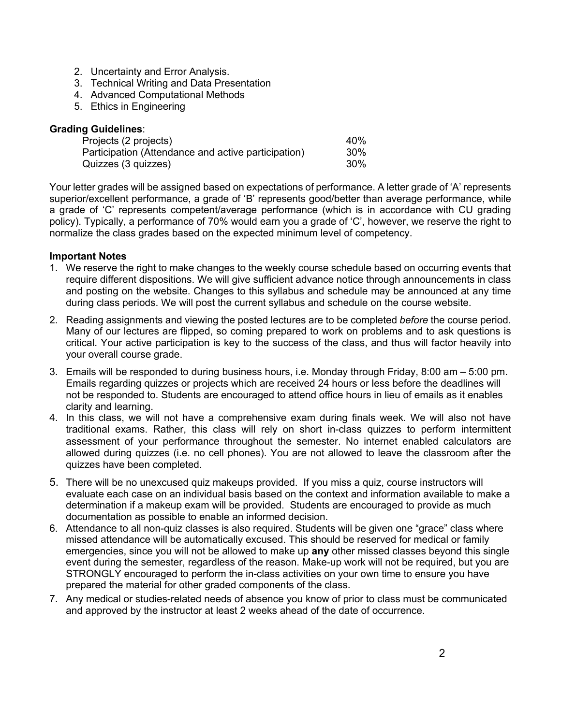- 2. Uncertainty and Error Analysis.
- 3. Technical Writing and Data Presentation
- 4. Advanced Computational Methods
- 5. Ethics in Engineering

#### **Grading Guidelines**:

| Projects (2 projects)                               | 40%    |
|-----------------------------------------------------|--------|
| Participation (Attendance and active participation) | $30\%$ |
| Quizzes (3 quizzes)                                 | 30%    |

Your letter grades will be assigned based on expectations of performance. A letter grade of 'A' represents superior/excellent performance, a grade of 'B' represents good/better than average performance, while a grade of 'C' represents competent/average performance (which is in accordance with CU grading policy). Typically, a performance of 70% would earn you a grade of 'C', however, we reserve the right to normalize the class grades based on the expected minimum level of competency.

#### **Important Notes**

- 1. We reserve the right to make changes to the weekly course schedule based on occurring events that require different dispositions. We will give sufficient advance notice through announcements in class and posting on the website. Changes to this syllabus and schedule may be announced at any time during class periods. We will post the current syllabus and schedule on the course website.
- 2. Reading assignments and viewing the posted lectures are to be completed *before* the course period. Many of our lectures are flipped, so coming prepared to work on problems and to ask questions is critical. Your active participation is key to the success of the class, and thus will factor heavily into your overall course grade.
- 3. Emails will be responded to during business hours, i.e. Monday through Friday, 8:00 am 5:00 pm. Emails regarding quizzes or projects which are received 24 hours or less before the deadlines will not be responded to. Students are encouraged to attend office hours in lieu of emails as it enables clarity and learning.
- 4. In this class, we will not have a comprehensive exam during finals week. We will also not have traditional exams. Rather, this class will rely on short in-class quizzes to perform intermittent assessment of your performance throughout the semester. No internet enabled calculators are allowed during quizzes (i.e. no cell phones). You are not allowed to leave the classroom after the quizzes have been completed.
- 5. There will be no unexcused quiz makeups provided. If you miss a quiz, course instructors will evaluate each case on an individual basis based on the context and information available to make a determination if a makeup exam will be provided. Students are encouraged to provide as much documentation as possible to enable an informed decision.
- 6. Attendance to all non-quiz classes is also required. Students will be given one "grace" class where missed attendance will be automatically excused. This should be reserved for medical or family emergencies, since you will not be allowed to make up **any** other missed classes beyond this single event during the semester, regardless of the reason. Make-up work will not be required, but you are STRONGLY encouraged to perform the in-class activities on your own time to ensure you have prepared the material for other graded components of the class.
- 7. Any medical or studies-related needs of absence you know of prior to class must be communicated and approved by the instructor at least 2 weeks ahead of the date of occurrence.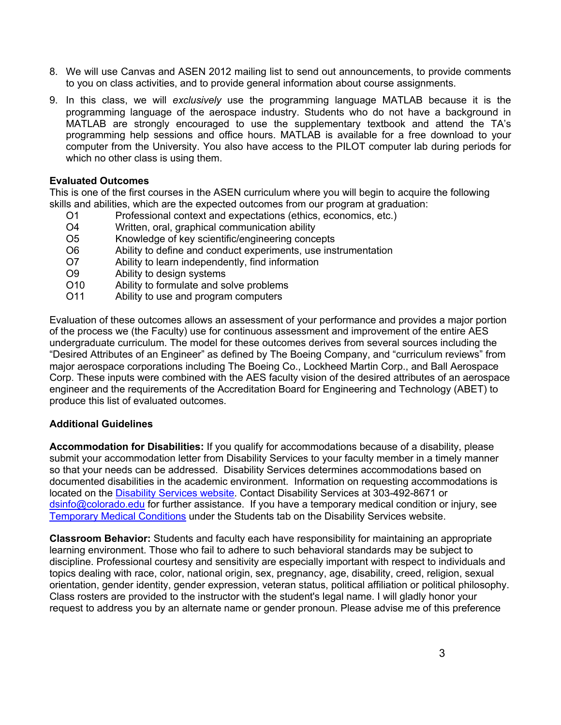- 8. We will use Canvas and ASEN 2012 mailing list to send out announcements, to provide comments to you on class activities, and to provide general information about course assignments.
- 9. In this class, we will *exclusively* use the programming language MATLAB because it is the programming language of the aerospace industry. Students who do not have a background in MATLAB are strongly encouraged to use the supplementary textbook and attend the TA's programming help sessions and office hours. MATLAB is available for a free download to your computer from the University. You also have access to the PILOT computer lab during periods for which no other class is using them.

#### **Evaluated Outcomes**

This is one of the first courses in the ASEN curriculum where you will begin to acquire the following skills and abilities, which are the expected outcomes from our program at graduation:

- O1 Professional context and expectations (ethics, economics, etc.)
- O4 Written, oral, graphical communication ability
- O5 Knowledge of key scientific/engineering concepts
- O6 Ability to define and conduct experiments, use instrumentation
- O7 Ability to learn independently, find information
- O9 Ability to design systems
- O10 Ability to formulate and solve problems
- O11 Ability to use and program computers

Evaluation of these outcomes allows an assessment of your performance and provides a major portion of the process we (the Faculty) use for continuous assessment and improvement of the entire AES undergraduate curriculum. The model for these outcomes derives from several sources including the "Desired Attributes of an Engineer" as defined by The Boeing Company, and "curriculum reviews" from major aerospace corporations including The Boeing Co., Lockheed Martin Corp., and Ball Aerospace Corp. These inputs were combined with the AES faculty vision of the desired attributes of an aerospace engineer and the requirements of the Accreditation Board for Engineering and Technology (ABET) to produce this list of evaluated outcomes.

#### **Additional Guidelines**

**Accommodation for Disabilities:** If you qualify for accommodations because of a disability, please submit your accommodation letter from Disability Services to your faculty member in a timely manner so that your needs can be addressed. Disability Services determines accommodations based on documented disabilities in the academic environment. Information on requesting accommodations is located on the Disability Services website. Contact Disability Services at 303-492-8671 or dsinfo@colorado.edu for further assistance. If you have a temporary medical condition or injury, see Temporary Medical Conditions under the Students tab on the Disability Services website.

**Classroom Behavior:** Students and faculty each have responsibility for maintaining an appropriate learning environment. Those who fail to adhere to such behavioral standards may be subject to discipline. Professional courtesy and sensitivity are especially important with respect to individuals and topics dealing with race, color, national origin, sex, pregnancy, age, disability, creed, religion, sexual orientation, gender identity, gender expression, veteran status, political affiliation or political philosophy. Class rosters are provided to the instructor with the student's legal name. I will gladly honor your request to address you by an alternate name or gender pronoun. Please advise me of this preference